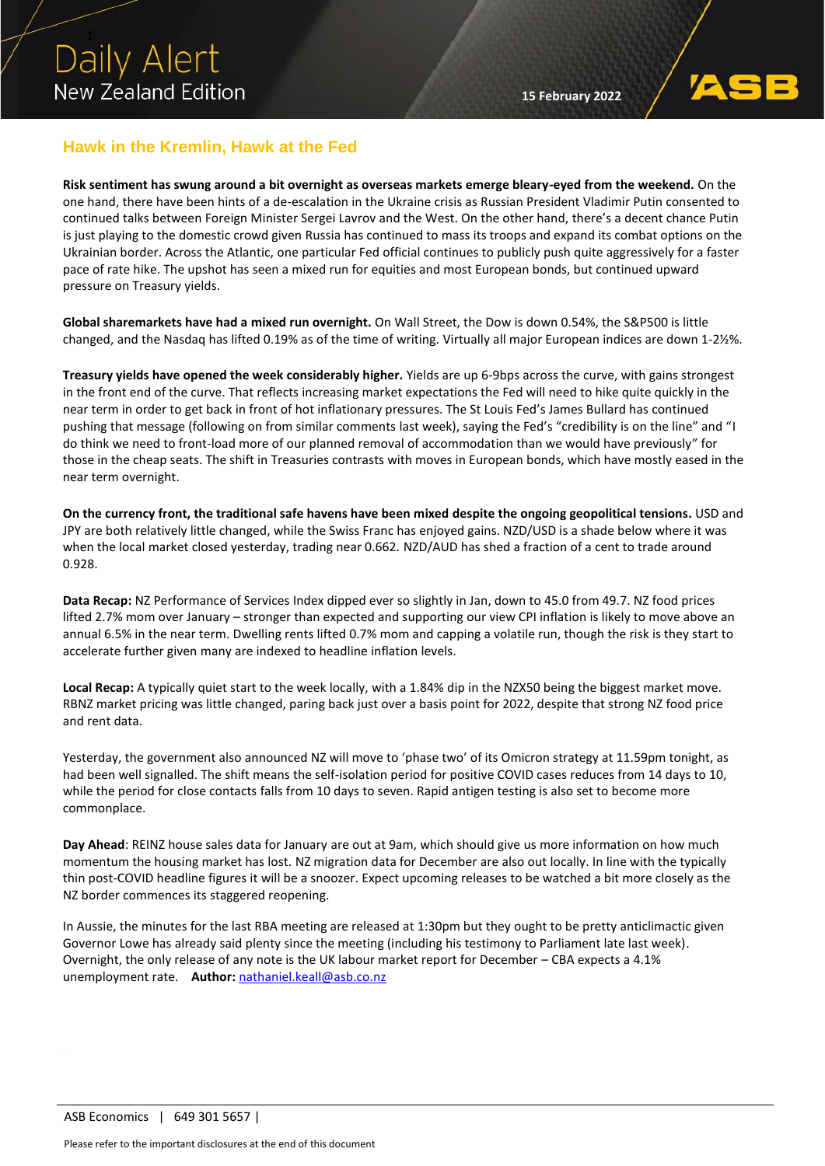

## **Hawk in the Kremlin, Hawk at the Fed**

**Risk sentiment has swung around a bit overnight as overseas markets emerge bleary-eyed from the weekend.** On the one hand, there have been hints of a de-escalation in the Ukraine crisis as Russian President Vladimir Putin consented to continued talks between Foreign Minister Sergei Lavrov and the West. On the other hand, there's a decent chance Putin is just playing to the domestic crowd given Russia has continued to mass its troops and expand its combat options on the Ukrainian border. Across the Atlantic, one particular Fed official continues to publicly push quite aggressively for a faster pace of rate hike. The upshot has seen a mixed run for equities and most European bonds, but continued upward pressure on Treasury yields.

**Global sharemarkets have had a mixed run overnight.** On Wall Street, the Dow is down 0.54%, the S&P500 is little changed, and the Nasdaq has lifted 0.19% as of the time of writing. Virtually all major European indices are down 1-2½%.

**Treasury yields have opened the week considerably higher.** Yields are up 6-9bps across the curve, with gains strongest in the front end of the curve. That reflects increasing market expectations the Fed will need to hike quite quickly in the near term in order to get back in front of hot inflationary pressures. The St Louis Fed's James Bullard has continued pushing that message (following on from similar comments last week), saying the Fed's "credibility is on the line" and "I do think we need to front-load more of our planned removal of accommodation than we would have previously" for those in the cheap seats. The shift in Treasuries contrasts with moves in European bonds, which have mostly eased in the near term overnight.

**On the currency front, the traditional safe havens have been mixed despite the ongoing geopolitical tensions.** USD and JPY are both relatively little changed, while the Swiss Franc has enjoyed gains. NZD/USD is a shade below where it was when the local market closed yesterday, trading near 0.662. NZD/AUD has shed a fraction of a cent to trade around 0.928.

**Data Recap:** NZ Performance of Services Index dipped ever so slightly in Jan, down to 45.0 from 49.7. NZ food prices lifted 2.7% mom over January – stronger than expected and supporting our view CPI inflation is likely to move above an annual 6.5% in the near term. Dwelling rents lifted 0.7% mom and capping a volatile run, though the risk is they start to accelerate further given many are indexed to headline inflation levels.

**Local Recap:** A typically quiet start to the week locally, with a 1.84% dip in the NZX50 being the biggest market move. RBNZ market pricing was little changed, paring back just over a basis point for 2022, despite that strong NZ food price and rent data.

Yesterday, the government also announced NZ will move to 'phase two' of its Omicron strategy at 11.59pm tonight, as had been well signalled. The shift means the self-isolation period for positive COVID cases reduces from 14 days to 10, while the period for close contacts falls from 10 days to seven. Rapid antigen testing is also set to become more commonplace.

**Day Ahead**: REINZ house sales data for January are out at 9am, which should give us more information on how much momentum the housing market has lost. NZ migration data for December are also out locally. In line with the typically thin post-COVID headline figures it will be a snoozer. Expect upcoming releases to be watched a bit more closely as the NZ border commences its staggered reopening.

In Aussie, the minutes for the last RBA meeting are released at 1:30pm but they ought to be pretty anticlimactic given Governor Lowe has already said plenty since the meeting (including his testimony to Parliament late last week). Overnight, the only release of any note is the UK labour market report for December – CBA expects a 4.1% unemployment rate. **Author:** [nathaniel.keall@asb.co.nz](mailto:nathaniel.keall@asb.co.nz)